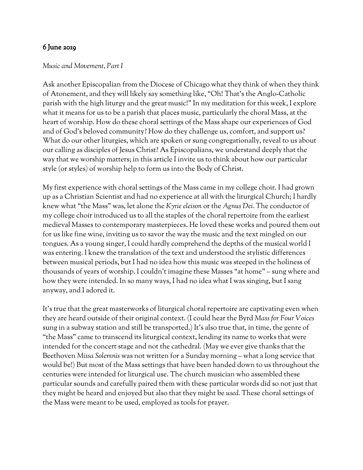## 6 June 2019

## *Music and Movement, Part I*

Ask another Episcopalian from the Diocese of Chicago what they think of when they think of Atonement, and they will likely say something like, "Oh! That's the Anglo-Catholic parish with the high liturgy and the great music!" In my meditation for this week, I explore what it means for us to be a parish that places music, particularly the choral Mass, at the heart of worship. How do these choral settings of the Mass shape our experiences of God and of God's beloved community? How do they challenge us, comfort, and support us? What do our other liturgies, which are spoken or sung congregationally, reveal to us about our calling as disciples of Jesus Christ? As Episcopalians, we understand deeply that the way that we worship matters; in this article I invite us to think about how our particular style (or styles) of worship help to form us into the Body of Christ.

My first experience with choral settings of the Mass came in my college choir. I had grown up as a Christian Scientist and had no experience at all with the liturgical Church; I hardly knew what "the Mass" was, let alone the *Kyrie eleison* or the *Agnus Dei.* The conductor of my college choir introduced us to all the staples of the choral repertoire from the earliest medieval Masses to contemporary masterpieces. He loved these works and poured them out for us like fine wine, inviting us to savor the way the music and the text mingled on our tongues. As a young singer, I could hardly comprehend the depths of the musical world I was entering. I knew the translation of the text and understood the stylistic differences between musical periods, but I had no idea how this music was steeped in the holiness of thousands of years of worship. I couldn't imagine these Masses "at home" – sung where and how they were intended. In so many ways, I had no idea what I was singing, but I sang anyway, and I adored it.

It's true that the great masterworks of liturgical choral repertoire are captivating even when they are heard outside of their original context. (I could hear the Byrd *Mass for Four Voices* sung in a subway station and still be transported.) It's also true that, in time, the genre of "the Mass" came to transcend its liturgical context, lending its name to works that were intended for the concert stage and not the cathedral. (May we ever give thanks that the Beethoven *Missa Solemnis* was not written for a Sunday morning – what a long service that would be!) But most of the Mass settings that have been handed down to us throughout the centuries were intended for liturgical use. The church musician who assembled these particular sounds and carefully paired them with these particular words did so not just that they might be heard and enjoyed but also that they might be *used.* These choral settings of the Mass were meant to be used, employed as tools for prayer.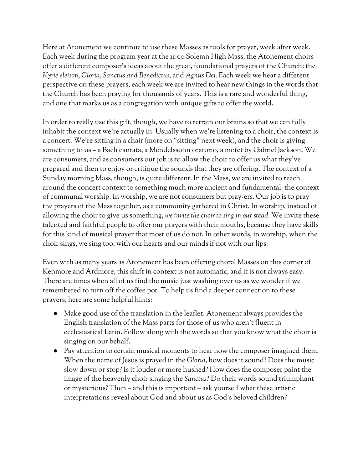Here at Atonement we continue to use these Masses as tools for prayer, week after week. Each week during the program year at the 11:00 Solemn High Mass, the Atonement choirs offer a different composer's ideas about the great, foundational prayers of the Church: the *Kyrie eleison, Gloria, Sanctus and Benedictus,* and *Agnus Dei.* Each week we hear a different perspective on these prayers; each week we are invited to hear new things in the words that the Church has been praying for thousands of years. This is a rare and wonderful thing, and one that marks us as a congregation with unique gifts to offer the world.

In order to really use this gift, though, we have to retrain our brains so that we can fully inhabit the context we're actually in. Usually when we're listening to a choir, the context is a concert. We're sitting in a chair (more on "sitting" next week), and the choir is giving something to us – a Bach cantata, a Mendelssohn oratorio, a motet by Gabriel Jackson. We are consumers, and as consumers our job is to allow the choir to offer us what they've prepared and then to enjoy or critique the sounds that they are offering. The context of a Sunday morning Mass, though, is quite different. In the Mass, we are invited to reach around the concert context to something much more ancient and fundamental: the context of communal worship. In worship, we are not consumers but pray-ers. Our job is to pray the prayers of the Mass together, as a community gathered in Christ. In worship, instead of allowing the choir to give us something, *we invite the choir to sing in our stead.* We invite these talented and faithful people to offer our prayers with their mouths, because they have skills for this kind of musical prayer that most of us do not. In other words, in worship, when the choir sings, we sing too, with our hearts and our minds if not with our lips.

Even with as many years as Atonement has been offering choral Masses on this corner of Kenmore and Ardmore, this shift in context is not automatic, and it is not always easy. There are times when all of us find the music just washing over us as we wonder if we remembered to turn off the coffee pot. To help us find a deeper connection to these prayers, here are some helpful hints:

- Make good use of the translation in the leaflet. Atonement always provides the English translation of the Mass parts for those of us who aren't fluent in ecclesiastical Latin. Follow along with the words so that you know what the choir is singing on our behalf.
- Pay attention to certain musical moments to hear how the composer imagined them. When the name of Jesus is prayed in the *Gloria,* how does it sound? Does the music slow down or stop? Is it louder or more hushed? How does the composer paint the image of the heavenly choir singing the *Sanctus?* Do their words sound triumphant or mysterious? Then – and this is important – ask yourself what these artistic interpretations reveal about God and about us as God's beloved children?